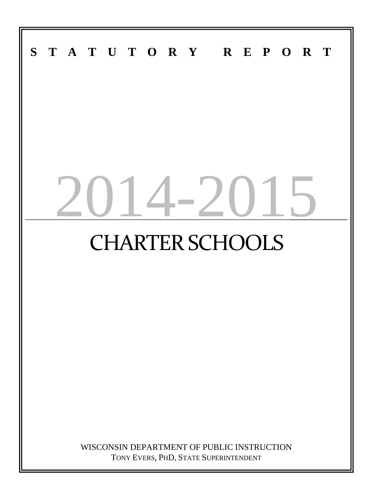# **S T A T U T O R Y R E P O R T**  $14-201$ CHARTER SCHOOLS WISCONSIN DEPARTMENT OF PUBLIC INSTRUCTION

TONY EVERS, PHD, STATE SUPERINTENDENT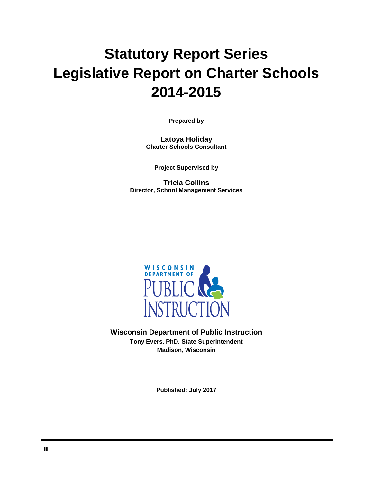# **Statutory Report Series Legislative Report on Charter Schools 2014-2015**

**Prepared by**

**Latoya Holiday Charter Schools Consultant**

**Project Supervised by**

**Tricia Collins Director, School Management Services**



**Wisconsin Department of Public Instruction Tony Evers, PhD, State Superintendent Madison, Wisconsin**

**Published: July 2017**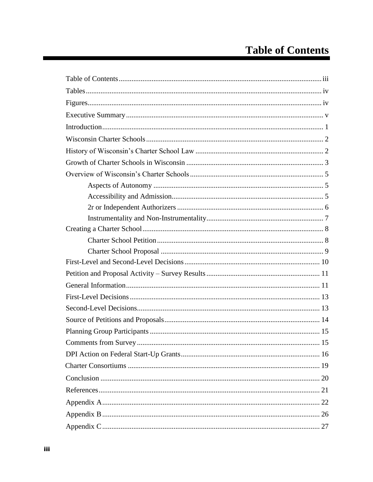# **Table of Contents**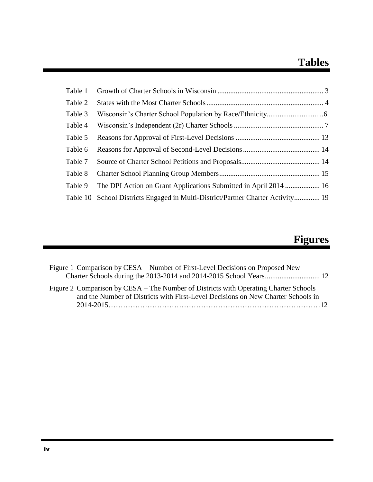# **Tables**

| Table 1 |                                                                                 |
|---------|---------------------------------------------------------------------------------|
| Table 2 |                                                                                 |
| Table 3 |                                                                                 |
| Table 4 |                                                                                 |
| Table 5 |                                                                                 |
| Table 6 |                                                                                 |
| Table 7 |                                                                                 |
| Table 8 |                                                                                 |
| Table 9 | The DPI Action on Grant Applications Submitted in April 2014  16                |
|         | Table 10 School Districts Engaged in Multi-District/Partner Charter Activity 19 |

# **Figures**

| Figure 1 Comparison by CESA – Number of First-Level Decisions on Proposed New                                                                                            |  |
|--------------------------------------------------------------------------------------------------------------------------------------------------------------------------|--|
|                                                                                                                                                                          |  |
| Figure 2 Comparison by CESA – The Number of Districts with Operating Charter Schools<br>and the Number of Districts with First-Level Decisions on New Charter Schools in |  |
|                                                                                                                                                                          |  |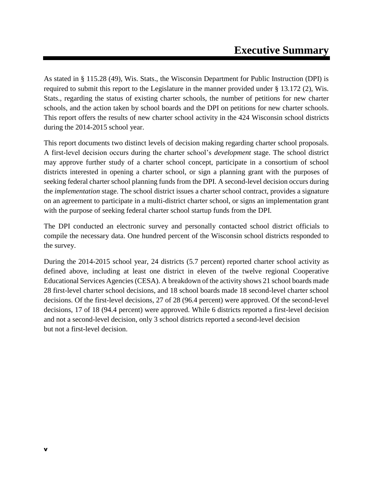As stated in § 115.28 (49), Wis. Stats., the Wisconsin Department for Public Instruction (DPI) is required to submit this report to the Legislature in the manner provided under § 13.172 (2), Wis. Stats., regarding the status of existing charter schools, the number of petitions for new charter schools, and the action taken by school boards and the DPI on petitions for new charter schools. This report offers the results of new charter school activity in the 424 Wisconsin school districts during the 2014-2015 school year.

This report documents two distinct levels of decision making regarding charter school proposals. A first-level decision occurs during the charter school's *development* stage. The school district may approve further study of a charter school concept, participate in a consortium of school districts interested in opening a charter school, or sign a planning grant with the purposes of seeking federal charter school planning funds from the DPI. A second-level decision occurs during the *implementation* stage. The school district issues a charter school contract, provides a signature on an agreement to participate in a multi-district charter school, or signs an implementation grant with the purpose of seeking federal charter school startup funds from the DPI.

The DPI conducted an electronic survey and personally contacted school district officials to compile the necessary data. One hundred percent of the Wisconsin school districts responded to the survey.

During the 2014-2015 school year, 24 districts (5.7 percent) reported charter school activity as defined above, including at least one district in eleven of the twelve regional Cooperative Educational Services Agencies(CESA). A breakdown of the activity shows 21 school boards made 28 first-level charter school decisions, and 18 school boards made 18 second-level charter school decisions. Of the first-level decisions, 27 of 28 (96.4 percent) were approved. Of the second-level decisions, 17 of 18 (94.4 percent) were approved. While 6 districts reported a first-level decision and not a second-level decision, only 3 school districts reported a second-level decision but not a first-level decision.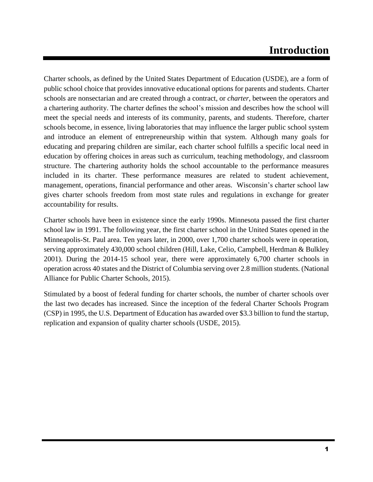# **Introduction**

Charter schools, as defined by the United States Department of Education (USDE), are a form of public school choice that provides innovative educational options for parents and students. Charter schools are nonsectarian and are created through a contract, or *charter*, between the operators and a chartering authority. The charter defines the school's mission and describes how the school will meet the special needs and interests of its community, parents, and students. Therefore, charter schools become, in essence, living laboratories that may influence the larger public school system and introduce an element of entrepreneurship within that system. Although many goals for educating and preparing children are similar, each charter school fulfills a specific local need in education by offering choices in areas such as curriculum, teaching methodology, and classroom structure. The chartering authority holds the school accountable to the performance measures included in its charter. These performance measures are related to student achievement, management, operations, financial performance and other areas. Wisconsin's charter school law gives charter schools freedom from most state rules and regulations in exchange for greater accountability for results.

Charter schools have been in existence since the early 1990s. Minnesota passed the first charter school law in 1991. The following year, the first charter school in the United States opened in the Minneapolis-St. Paul area. Ten years later, in 2000, over 1,700 charter schools were in operation, serving approximately 430,000 school children (Hill, Lake, Celio, Campbell, Herdman & Bulkley 2001). During the 2014-15 school year, there were approximately 6,700 charter schools in operation across 40 states and the District of Columbia serving over 2.8 million students. (National Alliance for Public Charter Schools, 2015).

Stimulated by a boost of federal funding for charter schools, the number of charter schools over the last two decades has increased. Since the inception of the federal Charter Schools Program (CSP) in 1995, the U.S. Department of Education has awarded over \$3.3 billion to fund the startup, replication and expansion of quality charter schools (USDE, 2015).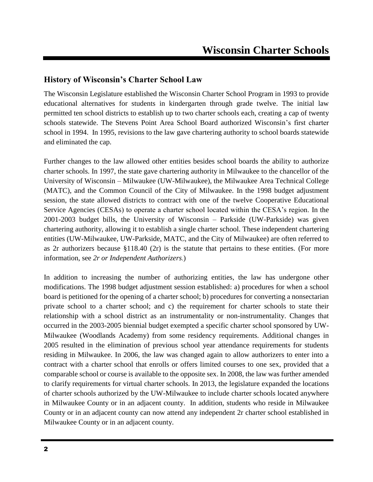### **History of Wisconsin's Charter School Law**

The Wisconsin Legislature established the Wisconsin Charter School Program in 1993 to provide educational alternatives for students in kindergarten through grade twelve. The initial law permitted ten school districts to establish up to two charter schools each, creating a cap of twenty schools statewide. The Stevens Point Area School Board authorized Wisconsin's first charter school in 1994. In 1995, revisions to the law gave chartering authority to school boards statewide and eliminated the cap.

Further changes to the law allowed other entities besides school boards the ability to authorize charter schools. In 1997, the state gave chartering authority in Milwaukee to the chancellor of the University of Wisconsin – Milwaukee (UW-Milwaukee), the Milwaukee Area Technical College (MATC), and the Common Council of the City of Milwaukee. In the 1998 budget adjustment session, the state allowed districts to contract with one of the twelve Cooperative Educational Service Agencies (CESAs) to operate a charter school located within the CESA's region. In the 2001-2003 budget bills, the University of Wisconsin – Parkside (UW-Parkside) was given chartering authority, allowing it to establish a single charter school. These independent chartering entities (UW-Milwaukee, UW-Parkside, MATC, and the City of Milwaukee) are often referred to as 2r authorizers because §118.40 (2r) is the statute that pertains to these entities. (For more information, see *2r or Independent Authorizers*.)

In addition to increasing the number of authorizing entities, the law has undergone other modifications. The 1998 budget adjustment session established: a) procedures for when a school board is petitioned for the opening of a charter school; b) procedures for converting a nonsectarian private school to a charter school; and c) the requirement for charter schools to state their relationship with a school district as an instrumentality or non-instrumentality. Changes that occurred in the 2003-2005 biennial budget exempted a specific charter school sponsored by UW-Milwaukee (Woodlands Academy) from some residency requirements. Additional changes in 2005 resulted in the elimination of previous school year attendance requirements for students residing in Milwaukee. In 2006, the law was changed again to allow authorizers to enter into a contract with a charter school that enrolls or offers limited courses to one sex, provided that a comparable school or course is available to the opposite sex. In 2008, the law was further amended to clarify requirements for virtual charter schools*.* In 2013, the legislature expanded the locations of charter schools authorized by the UW-Milwaukee to include charter schools located anywhere in Milwaukee County or in an adjacent county. In addition, students who reside in Milwaukee County or in an adjacent county can now attend any independent 2r charter school established in Milwaukee County or in an adjacent county.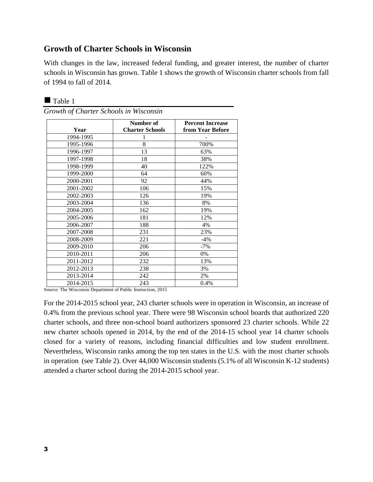### **Growth of Charter Schools in Wisconsin**

With changes in the law, increased federal funding, and greater interest, the number of charter schools in Wisconsin has grown. Table 1 shows the growth of Wisconsin charter schools from fall of 1994 to fall of 2014.

| Year      | Number of<br><b>Charter Schools</b> | <b>Percent Increase</b><br>from Year Before |
|-----------|-------------------------------------|---------------------------------------------|
| 1994-1995 | 1                                   |                                             |
| 1995-1996 | 8                                   | 700%                                        |
| 1996-1997 | 13                                  | 63%                                         |
| 1997-1998 | 18                                  | 38%                                         |
| 1998-1999 | 40                                  | 122%                                        |
| 1999-2000 | 64                                  | 60%                                         |
| 2000-2001 | 92                                  | 44%                                         |
| 2001-2002 | 106                                 | 15%                                         |
| 2002-2003 | 126                                 | 19%                                         |
| 2003-2004 | 136                                 | 8%                                          |
| 2004-2005 | 162                                 | 19%                                         |
| 2005-2006 | 181                                 | 12%                                         |
| 2006-2007 | 188                                 | 4%                                          |
| 2007-2008 | 231                                 | 23%                                         |
| 2008-2009 | 221                                 | $-4\%$                                      |
| 2009-2010 | 206                                 | $-7\%$                                      |
| 2010-2011 | 206                                 | 0%                                          |
| 2011-2012 | 232                                 | 13%                                         |
| 2012-2013 | 238                                 | 3%                                          |
| 2013-2014 | 242                                 | 2%                                          |
| 2014-2015 | 243                                 | 0.4%                                        |

Table 1

Source: The Wisconsin Department of Public Instruction, 2015

For the 2014-2015 school year, 243 charter schools were in operation in Wisconsin, an increase of 0.4% from the previous school year. There were 98 Wisconsin school boards that authorized 220 charter schools, and three non-school board authorizers sponsored 23 charter schools. While 22 new charter schools opened in 2014, by the end of the 2014-15 school year 14 charter schools closed for a variety of reasons, including financial difficulties and low student enrollment. Nevertheless, Wisconsin ranks among the top ten states in the U.S. with the most charter schools in operation (see Table 2). Over 44,000 Wisconsin students (5.1% of all Wisconsin K-12 students) attended a charter school during the 2014-2015 school year.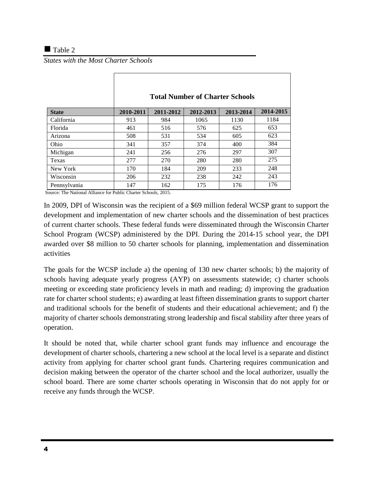### $\blacksquare$  Table 2

*States with the Most Charter Schools*

|              | <b>Total Number of Charter Schools</b> |           |           |           |           |
|--------------|----------------------------------------|-----------|-----------|-----------|-----------|
| <b>State</b> | 2010-2011                              | 2011-2012 | 2012-2013 | 2013-2014 | 2014-2015 |
| California   | 913                                    | 984       | 1065      | 1130      | 1184      |
| Florida      | 461                                    | 516       | 576       | 625       | 653       |
| Arizona      | 508                                    | 531       | 534       | 605       | 623       |
| Ohio         | 341                                    | 357       | 374       | 400       | 384       |
| Michigan     | 241                                    | 256       | 276       | 297       | 307       |
| Texas        | 277                                    | 270       | 280       | 280       | 275       |
| New York     | 170                                    | 184       | 209       | 233       | 248       |
| Wisconsin    | 206                                    | 232       | 238       | 242       | 243       |
| Pennsylvania | 147                                    | 162       | 175       | 176       | 176       |

Source: The National Alliance for Public Charter Schools, 2015.

In 2009, DPI of Wisconsin was the recipient of a \$69 million federal WCSP grant to support the development and implementation of new charter schools and the dissemination of best practices of current charter schools. These federal funds were disseminated through the Wisconsin Charter School Program (WCSP) administered by the DPI. During the 2014-15 school year, the DPI awarded over \$8 million to 50 charter schools for planning, implementation and dissemination activities

The goals for the WCSP include a) the opening of 130 new charter schools; b) the majority of schools having adequate yearly progress (AYP) on assessments statewide; c) charter schools meeting or exceeding state proficiency levels in math and reading; d) improving the graduation rate for charter school students; e) awarding at least fifteen dissemination grants to support charter and traditional schools for the benefit of students and their educational achievement; and f) the majority of charter schools demonstrating strong leadership and fiscal stability after three years of operation.

It should be noted that, while charter school grant funds may influence and encourage the development of charter schools, chartering a new school at the local level is a separate and distinct activity from applying for charter school grant funds. Chartering requires communication and decision making between the operator of the charter school and the local authorizer, usually the school board. There are some charter schools operating in Wisconsin that do not apply for or receive any funds through the WCSP.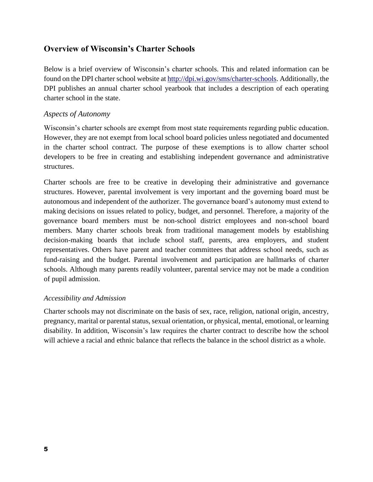### **Overview of Wisconsin's Charter Schools**

Below is a brief overview of Wisconsin's charter schools. This and related information can be found on the DPI charter school website at [http://dpi.wi.gov/sms/charter-schools.](http://dpi.wi.gov/sms/charter-schools) Additionally, the DPI publishes an annual charter school yearbook that includes a description of each operating charter school in the state.

### *Aspects of Autonomy*

Wisconsin's charter schools are exempt from most state requirements regarding public education. However, they are not exempt from local school board policies unless negotiated and documented in the charter school contract. The purpose of these exemptions is to allow charter school developers to be free in creating and establishing independent governance and administrative structures.

Charter schools are free to be creative in developing their administrative and governance structures. However, parental involvement is very important and the governing board must be autonomous and independent of the authorizer. The governance board's autonomy must extend to making decisions on issues related to policy, budget, and personnel. Therefore, a majority of the governance board members must be non-school district employees and non-school board members. Many charter schools break from traditional management models by establishing decision-making boards that include school staff, parents, area employers, and student representatives. Others have parent and teacher committees that address school needs, such as fund-raising and the budget. Parental involvement and participation are hallmarks of charter schools. Although many parents readily volunteer, parental service may not be made a condition of pupil admission.

### *Accessibility and Admission*

Charter schools may not discriminate on the basis of sex, race, religion, national origin, ancestry, pregnancy, marital or parental status, sexual orientation, or physical, mental, emotional, or learning disability. In addition, Wisconsin's law requires the charter contract to describe how the school will achieve a racial and ethnic balance that reflects the balance in the school district as a whole.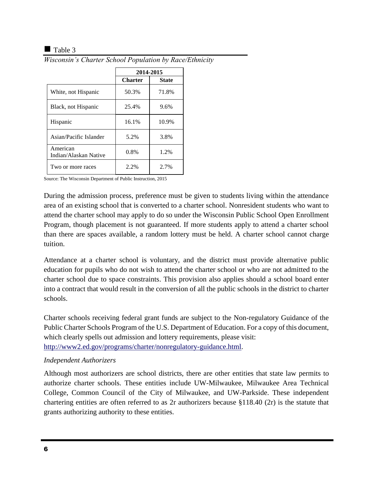### $\blacksquare$  Table 3

|                                   | 2014-2015      |              |  |
|-----------------------------------|----------------|--------------|--|
|                                   | <b>Charter</b> | <b>State</b> |  |
| White, not Hispanic               | 50.3%          | 71.8%        |  |
| Black, not Hispanic               | 25.4%          | 9.6%         |  |
| Hispanic                          | 16.1%          | 10.9%        |  |
| Asian/Pacific Islander            | 5.2%           | 3.8%         |  |
| American<br>Indian/Alaskan Native | 0.8%           | 1.2%         |  |
| Two or more races                 | 2.2%           | 2.7%         |  |

*Wisconsin's Charter School Population by Race/Ethnicity*

Source: The Wisconsin Department of Public Instruction, 2015

During the admission process, preference must be given to students living within the attendance area of an existing school that is converted to a charter school. Nonresident students who want to attend the charter school may apply to do so under the Wisconsin Public School Open Enrollment Program, though placement is not guaranteed. If more students apply to attend a charter school than there are spaces available, a random lottery must be held. A charter school cannot charge tuition.

Attendance at a charter school is voluntary, and the district must provide alternative public education for pupils who do not wish to attend the charter school or who are not admitted to the charter school due to space constraints. This provision also applies should a school board enter into a contract that would result in the conversion of all the public schools in the district to charter schools.

Charter schools receiving federal grant funds are subject to the Non-regulatory Guidance of the Public Charter Schools Program of the U.S. Department of Education. For a copy of this document, which clearly spells out admission and lottery requirements, please visit: [http://www2.ed.gov/programs/charter/nonregulatory-guidance.html.](http://www2.ed.gov/programs/charter/nonregulatory-guidance.html)

### *Independent Authorizers*

Although most authorizers are school districts, there are other entities that state law permits to authorize charter schools. These entities include UW-Milwaukee, Milwaukee Area Technical College, Common Council of the City of Milwaukee, and UW-Parkside. These independent chartering entities are often referred to as 2r authorizers because §118.40 (2r) is the statute that grants authorizing authority to these entities.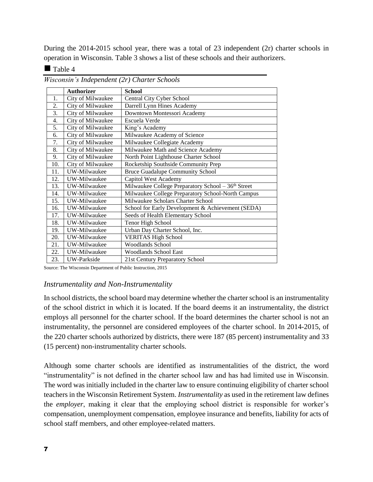During the 2014-2015 school year, there was a total of 23 independent (2r) charter schools in operation in Wisconsin. Table 3 shows a list of these schools and their authorizers.

### $\blacksquare$  Table 4

|     | <b>Authorizer</b> | <b>School</b>                                                  |
|-----|-------------------|----------------------------------------------------------------|
| 1.  | City of Milwaukee | Central City Cyber School                                      |
| 2.  | City of Milwaukee | Darrell Lynn Hines Academy                                     |
| 3.  | City of Milwaukee | Downtown Montessori Academy                                    |
| 4.  | City of Milwaukee | Escuela Verde                                                  |
| 5.  | City of Milwaukee | King's Academy                                                 |
| 6.  | City of Milwaukee | Milwaukee Academy of Science                                   |
| 7.  | City of Milwaukee | Milwaukee Collegiate Academy                                   |
| 8.  | City of Milwaukee | Milwaukee Math and Science Academy                             |
| 9.  | City of Milwaukee | North Point Lighthouse Charter School                          |
| 10. | City of Milwaukee | Rocketship Southside Community Prep                            |
| 11. | UW-Milwaukee      | <b>Bruce Guadalupe Community School</b>                        |
| 12. | UW-Milwaukee      | Capitol West Academy                                           |
| 13. | UW-Milwaukee      | Milwaukee College Preparatory School - 36 <sup>th</sup> Street |
| 14. | UW-Milwaukee      | Milwaukee College Preparatory School-North Campus              |
| 15. | UW-Milwaukee      | Milwaukee Scholars Charter School                              |
| 16. | UW-Milwaukee      | School for Early Development & Achievement (SEDA)              |
| 17. | UW-Milwaukee      | Seeds of Health Elementary School                              |
| 18. | UW-Milwaukee      | Tenor High School                                              |
| 19. | UW-Milwaukee      | Urban Day Charter School, Inc.                                 |
| 20. | UW-Milwaukee      | <b>VERITAS High School</b>                                     |
| 21. | UW-Milwaukee      | <b>Woodlands School</b>                                        |
| 22. | UW-Milwaukee      | <b>Woodlands School East</b>                                   |
| 23. | UW-Parkside       | 21st Century Preparatory School                                |

*Wisconsin's Independent (2r) Charter Schools* 

Source: The Wisconsin Department of Public Instruction, 2015

### *Instrumentality and Non-Instrumentality*

In school districts, the school board may determine whether the charter school is an instrumentality of the school district in which it is located. If the board deems it an instrumentality, the district employs all personnel for the charter school. If the board determines the charter school is not an instrumentality, the personnel are considered employees of the charter school. In 2014-2015, of the 220 charter schools authorized by districts, there were 187 (85 percent) instrumentality and 33 (15 percent) non-instrumentality charter schools.

Although some charter schools are identified as instrumentalities of the district, the word "instrumentality" is not defined in the charter school law and has had limited use in Wisconsin. The word was initially included in the charter law to ensure continuing eligibility of charter school teachers in the Wisconsin Retirement System. *Instrumentality* as used in the retirement law defines the *employer*, making it clear that the employing school district is responsible for worker's compensation, unemployment compensation, employee insurance and benefits, liability for acts of school staff members, and other employee-related matters.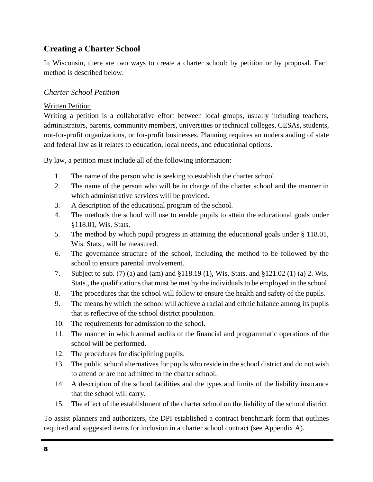### **Creating a Charter School**

In Wisconsin, there are two ways to create a charter school: by petition or by proposal. Each method is described below.

### *Charter School Petition*

### Written Petition

Writing a petition is a collaborative effort between local groups, usually including teachers, administrators, parents, community members, universities or technical colleges, CESAs, students, not-for-profit organizations, or for-profit businesses. Planning requires an understanding of state and federal law as it relates to education, local needs, and educational options.

By law, a petition must include all of the following information:

- 1. The name of the person who is seeking to establish the charter school.
- 2. The name of the person who will be in charge of the charter school and the manner in which administrative services will be provided.
- 3. A description of the educational program of the school.
- 4. The methods the school will use to enable pupils to attain the educational goals under §118.01, Wis. Stats.
- 5. The method by which pupil progress in attaining the educational goals under § 118.01, Wis. Stats., will be measured.
- 6. The governance structure of the school, including the method to be followed by the school to ensure parental involvement.
- 7. Subject to sub. (7) (a) and (am) and §118.19 (1), Wis. Stats. and §121.02 (1) (a) 2. Wis. Stats., the qualifications that must be met by the individuals to be employed in the school.
- 8. The procedures that the school will follow to ensure the health and safety of the pupils.
- 9. The means by which the school will achieve a racial and ethnic balance among its pupils that is reflective of the school district population.
- 10. The requirements for admission to the school.
- 11. The manner in which annual audits of the financial and programmatic operations of the school will be performed.
- 12. The procedures for disciplining pupils.
- 13. The public school alternatives for pupils who reside in the school district and do not wish to attend or are not admitted to the charter school.
- 14. A description of the school facilities and the types and limits of the liability insurance that the school will carry.
- 15. The effect of the establishment of the charter school on the liability of the school district.

To assist planners and authorizers, the DPI established a contract benchmark form that outlines required and suggested items for inclusion in a charter school contract (see Appendix A).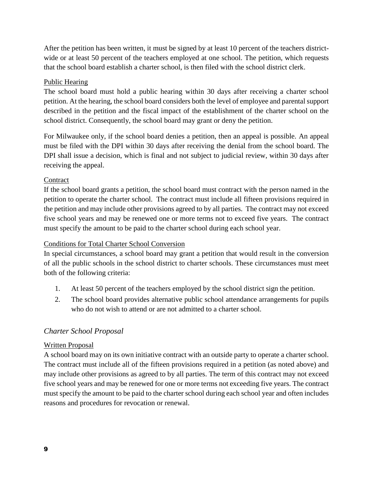After the petition has been written, it must be signed by at least 10 percent of the teachers districtwide or at least 50 percent of the teachers employed at one school. The petition, which requests that the school board establish a charter school, is then filed with the school district clerk.

### Public Hearing

The school board must hold a public hearing within 30 days after receiving a charter school petition. At the hearing, the school board considers both the level of employee and parental support described in the petition and the fiscal impact of the establishment of the charter school on the school district. Consequently, the school board may grant or deny the petition.

For Milwaukee only, if the school board denies a petition, then an appeal is possible. An appeal must be filed with the DPI within 30 days after receiving the denial from the school board. The DPI shall issue a decision, which is final and not subject to judicial review, within 30 days after receiving the appeal.

### **Contract**

If the school board grants a petition, the school board must contract with the person named in the petition to operate the charter school. The contract must include all fifteen provisions required in the petition and may include other provisions agreed to by all parties. The contract may not exceed five school years and may be renewed one or more terms not to exceed five years. The contract must specify the amount to be paid to the charter school during each school year.

### Conditions for Total Charter School Conversion

In special circumstances, a school board may grant a petition that would result in the conversion of all the public schools in the school district to charter schools. These circumstances must meet both of the following criteria:

- 1. At least 50 percent of the teachers employed by the school district sign the petition.
- 2. The school board provides alternative public school attendance arrangements for pupils who do not wish to attend or are not admitted to a charter school.

### *Charter School Proposal*

### Written Proposal

A school board may on its own initiative contract with an outside party to operate a charter school. The contract must include all of the fifteen provisions required in a petition (as noted above) and may include other provisions as agreed to by all parties. The term of this contract may not exceed five school years and may be renewed for one or more terms not exceeding five years. The contract must specify the amount to be paid to the charter school during each school year and often includes reasons and procedures for revocation or renewal.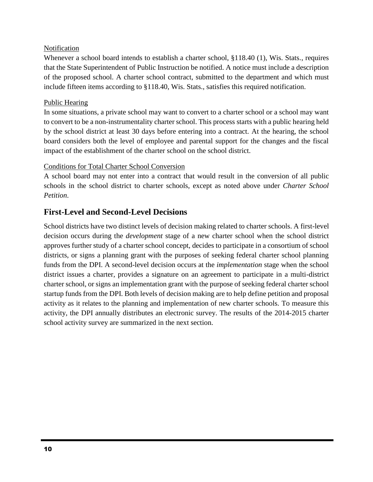### Notification

Whenever a school board intends to establish a charter school, §118.40 (1), Wis. Stats., requires that the State Superintendent of Public Instruction be notified. A notice must include a description of the proposed school. A charter school contract, submitted to the department and which must include fifteen items according to §118.40, Wis. Stats., satisfies this required notification.

### Public Hearing

In some situations, a private school may want to convert to a charter school or a school may want to convert to be a non-instrumentality charter school. This process starts with a public hearing held by the school district at least 30 days before entering into a contract. At the hearing, the school board considers both the level of employee and parental support for the changes and the fiscal impact of the establishment of the charter school on the school district.

### Conditions for Total Charter School Conversion

A school board may not enter into a contract that would result in the conversion of all public schools in the school district to charter schools, except as noted above under *Charter School Petition*.

### **First-Level and Second-Level Decisions**

School districts have two distinct levels of decision making related to charter schools. A first-level decision occurs during the *development* stage of a new charter school when the school district approves further study of a charter school concept, decides to participate in a consortium of school districts, or signs a planning grant with the purposes of seeking federal charter school planning funds from the DPI. A second-level decision occurs at the *implementation* stage when the school district issues a charter, provides a signature on an agreement to participate in a multi-district charter school, or signs an implementation grant with the purpose of seeking federal charter school startup funds from the DPI. Both levels of decision making are to help define petition and proposal activity as it relates to the planning and implementation of new charter schools. To measure this activity, the DPI annually distributes an electronic survey. The results of the 2014-2015 charter school activity survey are summarized in the next section.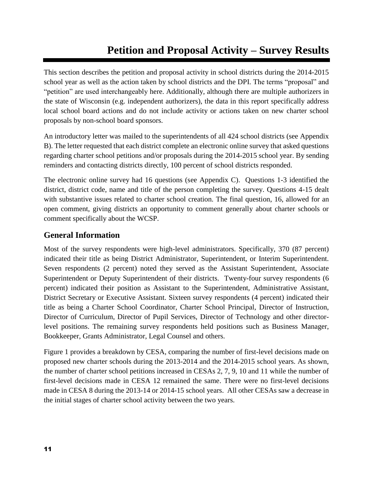# **Petition and Proposal Activity – Survey Results**

This section describes the petition and proposal activity in school districts during the 2014-2015 school year as well as the action taken by school districts and the DPI. The terms "proposal" and "petition" are used interchangeably here. Additionally, although there are multiple authorizers in the state of Wisconsin (e.g. independent authorizers), the data in this report specifically address local school board actions and do not include activity or actions taken on new charter school proposals by non-school board sponsors.

An introductory letter was mailed to the superintendents of all 424 school districts (see Appendix B). The letter requested that each district complete an electronic online survey that asked questions regarding charter school petitions and/or proposals during the 2014-2015 school year. By sending reminders and contacting districts directly, 100 percent of school districts responded.

The electronic online survey had 16 questions (see Appendix C). Questions 1-3 identified the district, district code, name and title of the person completing the survey. Questions 4-15 dealt with substantive issues related to charter school creation. The final question, 16, allowed for an open comment, giving districts an opportunity to comment generally about charter schools or comment specifically about the WCSP.

### **General Information**

Most of the survey respondents were high-level administrators. Specifically, 370 (87 percent) indicated their title as being District Administrator, Superintendent, or Interim Superintendent. Seven respondents (2 percent) noted they served as the Assistant Superintendent, Associate Superintendent or Deputy Superintendent of their districts. Twenty-four survey respondents (6 percent) indicated their position as Assistant to the Superintendent, Administrative Assistant, District Secretary or Executive Assistant. Sixteen survey respondents (4 percent) indicated their title as being a Charter School Coordinator, Charter School Principal, Director of Instruction, Director of Curriculum, Director of Pupil Services, Director of Technology and other directorlevel positions. The remaining survey respondents held positions such as Business Manager, Bookkeeper, Grants Administrator, Legal Counsel and others.

Figure 1 provides a breakdown by CESA, comparing the number of first-level decisions made on proposed new charter schools during the 2013-2014 and the 2014-2015 school years. As shown, the number of charter school petitions increased in CESAs 2, 7, 9, 10 and 11 while the number of first-level decisions made in CESA 12 remained the same. There were no first-level decisions made in CESA 8 during the 2013-14 or 2014-15 school years. All other CESAs saw a decrease in the initial stages of charter school activity between the two years.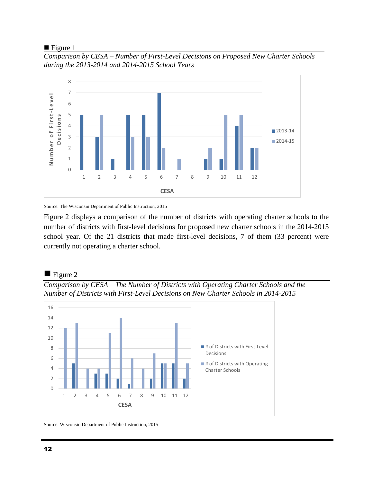### $\blacksquare$  Figure 1

*Comparison by CESA – Number of First-Level Decisions on Proposed New Charter Schools during the 2013-2014 and 2014-2015 School Years*



Source: The Wisconsin Department of Public Instruction, 2015

Figure 2 displays a comparison of the number of districts with operating charter schools to the number of districts with first-level decisions for proposed new charter schools in the 2014-2015 school year. Of the 21 districts that made first-level decisions, 7 of them (33 percent) were currently not operating a charter school.

### $\blacksquare$  Figure 2

*Comparison by CESA – The Number of Districts with Operating Charter Schools and the Number of Districts with First-Level Decisions on New Charter Schools in 2014-2015*



Source: Wisconsin Department of Public Instruction, 2015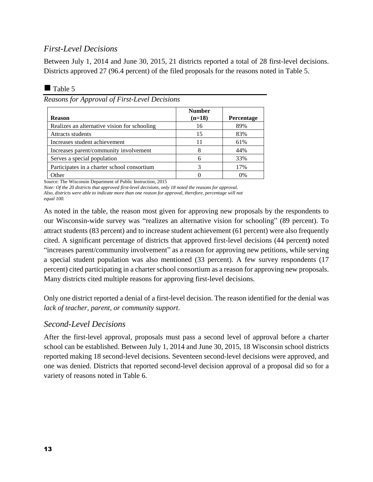### *First-Level Decisions*

Between July 1, 2014 and June 30, 2015, 21 districts reported a total of 28 first-level decisions. Districts approved 27 (96.4 percent) of the filed proposals for the reasons noted in Table 5.

### $\blacksquare$  Table 5

*Reasons for Approval of First-Level Decisions*

| <b>Reason</b>                                | <b>Number</b><br>$(n=18)$ | <b>Percentage</b> |
|----------------------------------------------|---------------------------|-------------------|
| Realizes an alternative vision for schooling | 16                        | 89%               |
| <b>Attracts students</b>                     | 15                        | 83%               |
| Increases student achievement                | 11                        | 61%               |
| Increases parent/community involvement       | 8                         | 44%               |
| Serves a special population                  | 6                         | 33%               |
| Participates in a charter school consortium  |                           | 17%               |
| Other                                        |                           | 0%                |

Source: The Wisconsin Department of Public Instruction, 2015

*Note: Of the 20 districts that approved first-level decisions, only 18 noted the reasons for approval.* 

*Also, districts were able to indicate more than one reason for approval, therefore, percentage will not equal 100.* 

As noted in the table, the reason most given for approving new proposals by the respondents to our Wisconsin-wide survey was "realizes an alternative vision for schooling" (89 percent). To attract students (83 percent) and to increase student achievement (61 percent) were also frequently cited. A significant percentage of districts that approved first-level decisions (44 percent**)** noted "increases parent/community involvement" as a reason for approving new petitions, while serving a special student population was also mentioned (33 percent). A few survey respondents (17 percent) cited participating in a charter school consortium as a reason for approving new proposals. Many districts cited multiple reasons for approving first-level decisions.

Only one district reported a denial of a first-level decision. The reason identified for the denial was *lack of teacher, parent, or community support*.

### *Second-Level Decisions*

After the first-level approval, proposals must pass a second level of approval before a charter school can be established. Between July 1, 2014 and June 30, 2015, 18 Wisconsin school districts reported making 18 second-level decisions. Seventeen second-level decisions were approved, and one was denied. Districts that reported second-level decision approval of a proposal did so for a variety of reasons noted in Table 6.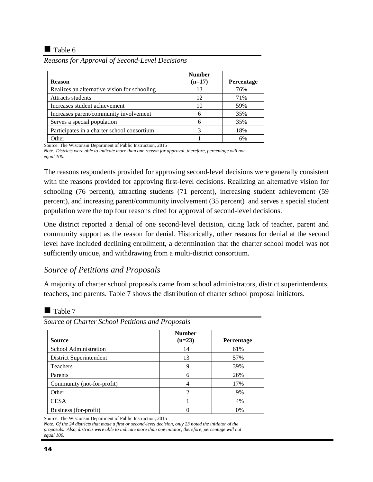### $\blacksquare$  Table 6

| Reasons for Approval of Second-Level Decisions |  |  |  |  |
|------------------------------------------------|--|--|--|--|
|                                                |  |  |  |  |

| <b>Reason</b>                                | <b>Number</b><br>$(n=17)$ | Percentage |
|----------------------------------------------|---------------------------|------------|
| Realizes an alternative vision for schooling | 13                        | 76%        |
| <b>Attracts students</b>                     | 12                        | 71%        |
| Increases student achievement                | 10                        | 59%        |
| Increases parent/community involvement       |                           | 35%        |
| Serves a special population                  | 6                         | 35%        |
| Participates in a charter school consortium  | 3                         | 18%        |
| Other                                        |                           | 6%         |

Source: The Wisconsin Department of Public Instruction, 2015

*Note: Districts were able to indicate more than one reason for approval, therefore, percentage will not equal 100.* 

The reasons respondents provided for approving second-level decisions were generally consistent with the reasons provided for approving first-level decisions. Realizing an alternative vision for schooling (76 percent), attracting students (71 percent), increasing student achievement (59 percent), and increasing parent/community involvement (35 percent) and serves a special student population were the top four reasons cited for approval of second-level decisions.

One district reported a denial of one second-level decision, citing lack of teacher, parent and community support as the reason for denial. Historically, other reasons for denial at the second level have included declining enrollment, a determination that the charter school model was not sufficiently unique, and withdrawing from a multi-district consortium.

### *Source of Petitions and Proposals*

A majority of charter school proposals came from school administrators, district superintendents, teachers, and parents. Table 7 shows the distribution of charter school proposal initiators.

### $\blacksquare$  Table 7

| Source                     | <b>Number</b><br>$(n=23)$ | <b>Percentage</b> |
|----------------------------|---------------------------|-------------------|
| School Administration      | 14                        | 61%               |
| District Superintendent    | 13                        | 57%               |
| Teachers                   | 9                         | 39%               |
| Parents                    | 6                         | 26%               |
| Community (not-for-profit) | 4                         | 17%               |
| Other                      | 2                         | 9%                |
| <b>CESA</b>                |                           | 4%                |
| Business (for-profit)      |                           | 0%                |

*Source of Charter School Petitions and Proposals*

Source: The Wisconsin Department of Public Instruction, 2015

*Note: Of the 24 districts that made a first or second-level decision, only 23 noted the initiator of the proposals. Also, districts were able to indicate more than one initator, therefore, percentage will not equal 100.*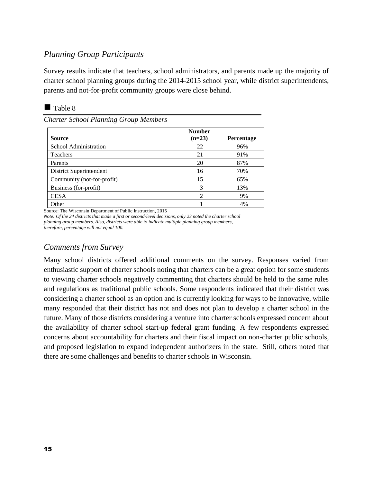### *Planning Group Participants*

Survey results indicate that teachers, school administrators, and parents made up the majority of charter school planning groups during the 2014-2015 school year, while district superintendents, parents and not-for-profit community groups were close behind.

*Charter School Planning Group Members*

| <b>Source</b>              | <b>Number</b><br>$(n=23)$ | Percentage |
|----------------------------|---------------------------|------------|
| School Administration      | 22                        | 96%        |
| Teachers                   | 21                        | 91%        |
| Parents                    | 20                        | 87%        |
| District Superintendent    | 16                        | 70%        |
| Community (not-for-profit) | 15                        | 65%        |
| Business (for-profit)      | 3                         | 13%        |
| <b>CESA</b>                |                           | 9%         |
| Other                      |                           | 4%         |

Source: The Wisconsin Department of Public Instruction, 2015

*Note: Of the 24 districts that made a first or second-level decisions, only 23 noted the charter school planning group members. Also, districts were able to indicate multiple planning group members, therefore, percentage will not equal 100.* 

### *Comments from Survey*

Many school districts offered additional comments on the survey. Responses varied from enthusiastic support of charter schools noting that charters can be a great option for some students to viewing charter schools negatively commenting that charters should be held to the same rules and regulations as traditional public schools. Some respondents indicated that their district was considering a charter school as an option and is currently looking for ways to be innovative, while many responded that their district has not and does not plan to develop a charter school in the future. Many of those districts considering a venture into charter schools expressed concern about the availability of charter school start-up federal grant funding. A few respondents expressed concerns about accountability for charters and their fiscal impact on non-charter public schools, and proposed legislation to expand independent authorizers in the state. Still, others noted that there are some challenges and benefits to charter schools in Wisconsin.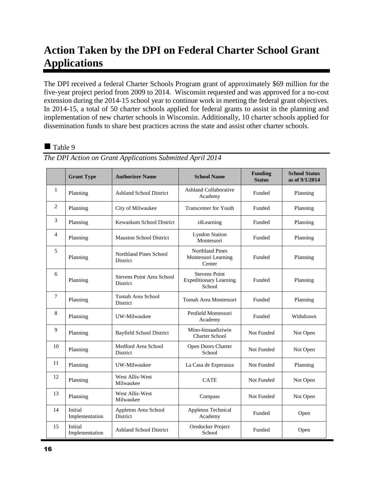# **Action Taken by the DPI on Federal Charter School Grant Applications**

The DPI received a federal Charter Schools Program grant of approximately \$69 million for the five-year project period from 2009 to 2014. Wisconsin requested and was approved for a no-cost extension during the 2014-15 school year to continue work in meeting the federal grant objectives. In 2014-15, a total of 50 charter schools applied for federal grants to assist in the planning and implementation of new charter schools in Wisconsin. Additionally, 10 charter schools applied for dissemination funds to share best practices across the state and assist other charter schools.

### Table 9

|                | <b>Grant Type</b>         | <b>Authorizer Name</b>                | <b>School Name</b>                                              | <b>Funding</b><br><b>Status</b> | <b>School Status</b><br>as of 9/1/2014 |
|----------------|---------------------------|---------------------------------------|-----------------------------------------------------------------|---------------------------------|----------------------------------------|
| $\mathbf{1}$   | Planning                  | Ashland School District               | <b>Ashland Collaborative</b><br>Academy                         | Funded                          | Planning                               |
| 2              | Planning                  | City of Milwaukee                     | <b>Transcenter for Youth</b>                                    | Funded                          | Planning                               |
| 3              | Planning                  | Kewaskum School District              | i4Learning                                                      | Funded                          | Planning                               |
| $\overline{4}$ | Planning                  | <b>Mauston School District</b>        | <b>Lyndon Station</b><br>Montessori                             | Funded                          | Planning                               |
| 5              | Planning                  | Northland Pines School<br>District    | <b>Northland Pines</b><br>Montessori Learning<br>Center         | Funded                          | Planning                               |
| 6              | Planning                  | Stevens Point Area School<br>District | <b>Stevens Point</b><br><b>Expeditionary Learning</b><br>School | Funded                          | Planning                               |
| $\overline{7}$ | Planning                  | Tomah Area School<br>District         | Tomah Area Montessori                                           | Funded                          | Planning                               |
| 8              | Planning                  | UW-Milwaukee                          | Penfield Montessori<br>Academy                                  | Funded                          | Withdrawn                              |
| 9              | Planning                  | <b>Bayfield School District</b>       | Mino-bimaadiziwin<br><b>Charter School</b>                      | Not Funded                      | Not Open                               |
| 10             | Planning                  | Medford Area School<br>District       | Open Doors Charter<br>School                                    | Not Funded                      | Not Open                               |
| 11             | Planning                  | UW-Milwaukee                          | La Casa de Esperanza                                            | Not Funded                      | Planning                               |
| 12             | Planning                  | West Allis-West<br>Milwaukee          | <b>CATE</b>                                                     | Not Funded                      | Not Open                               |
| 13             | Planning                  | West Allis-West<br>Milwaukee          | Compass                                                         | Not Funded                      | Not Open                               |
| 14             | Initial<br>Implementation | Appleton Area School<br>District      | Appleton Technical<br>Academy                                   | Funded                          | Open                                   |
| 15             | Initial<br>Implementation | <b>Ashland School District</b>        | Oredocker Project<br>School                                     | Funded                          | Open                                   |

*The DPI Action on Grant Applications Submitted April 2014*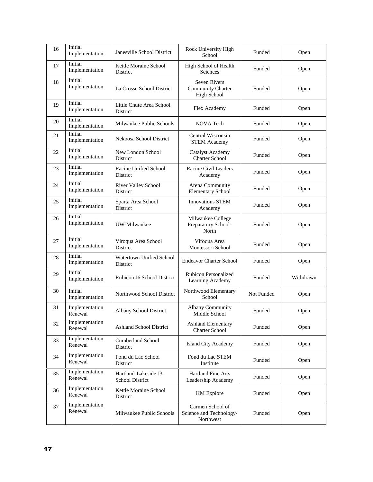| 16 | Initial<br>Implementation | Janesville School District                     | Rock University High<br>School                                        | Funded     | Open      |
|----|---------------------------|------------------------------------------------|-----------------------------------------------------------------------|------------|-----------|
| 17 | Initial<br>Implementation | Kettle Moraine School<br>District              | High School of Health<br>Sciences                                     | Funded     | Open      |
| 18 | Initial<br>Implementation | La Crosse School District                      | <b>Seven Rivers</b><br><b>Community Charter</b><br><b>High School</b> | Funded     | Open      |
| 19 | Initial<br>Implementation | Little Chute Area School<br>District           | Flex Academy                                                          | Funded     | Open      |
| 20 | Initial<br>Implementation | Milwaukee Public Schools                       | NOVA Tech                                                             | Funded     | Open      |
| 21 | Initial<br>Implementation | Nekoosa School District                        | Central Wisconsin<br><b>STEM Academy</b>                              | Funded     | Open      |
| 22 | Initial<br>Implementation | New London School<br>District                  | <b>Catalyst Academy</b><br><b>Charter School</b>                      | Funded     | Open      |
| 23 | Initial<br>Implementation | Racine Unified School<br>District              | Racine Civil Leaders<br>Academy                                       | Funded     | Open      |
| 24 | Initial<br>Implementation | River Valley School<br>District                | Arena Community<br><b>Elementary School</b>                           | Funded     | Open      |
| 25 | Initial<br>Implementation | Sparta Area School<br>District                 | <b>Innovations STEM</b><br>Academy                                    | Funded     | Open      |
| 26 | Initial<br>Implementation | UW-Milwaukee                                   | Milwaukee College<br>Preparatory School-<br>North                     | Funded     | Open      |
| 27 | Initial<br>Implementation | Viroqua Area School<br>District                | Viroqua Area<br>Montessori School                                     | Funded     | Open      |
| 28 | Initial<br>Implementation | Watertown Unified School<br>District           | <b>Endeavor Charter School</b>                                        | Funded     | Open      |
| 29 | Initial<br>Implementation | Rubicon J6 School District                     | Rubicon Personalized<br>Learning Academy                              | Funded     | Withdrawn |
| 30 | Initial<br>Implementation | Northwood School District                      | Northwood Elementary<br>School                                        | Not Funded | Open      |
| 31 | Implementation<br>Renewal | Albany School District                         | Albany Community<br>Middle School                                     | Funded     | Open      |
| 32 | Implementation<br>Renewal | <b>Ashland School District</b>                 | <b>Ashland Elementary</b><br><b>Charter School</b>                    | Funded     | Open      |
| 33 | Implementation<br>Renewal | <b>Cumberland School</b><br>District           | Island City Academy                                                   | Funded     | Open      |
| 34 | Implementation<br>Renewal | Fond du Lac School<br>District                 | Fond du Lac STEM<br>Institute                                         | Funded     | Open      |
| 35 | Implementation<br>Renewal | Hartland-Lakeside J3<br><b>School District</b> | <b>Hartland Fine Arts</b><br>Leadership Academy                       | Funded     | Open      |
| 36 | Implementation<br>Renewal | Kettle Moraine School<br>District              | <b>KM</b> Explore                                                     | Funded     | Open      |
| 37 | Implementation<br>Renewal | Milwaukee Public Schools                       | Carmen School of<br>Science and Technology-<br>Northwest              | Funded     | Open      |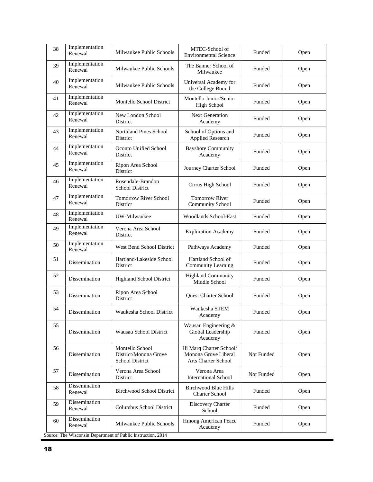| 38 | Implementation<br>Renewal | Milwaukee Public Schools                                     | MTEC-School of<br><b>Environmental Science</b>                         | Funded     | Open |
|----|---------------------------|--------------------------------------------------------------|------------------------------------------------------------------------|------------|------|
| 39 | Implementation<br>Renewal | Milwaukee Public Schools                                     | The Banner School of<br>Milwaukee                                      | Funded     | Open |
| 40 | Implementation<br>Renewal | Milwaukee Public Schools                                     | Universal Academy for<br>the College Bound                             | Funded     | Open |
| 41 | Implementation<br>Renewal | Montello School District                                     | Montello Junior/Senior<br><b>High School</b>                           | Funded     | Open |
| 42 | Implementation<br>Renewal | New London School<br>District                                | <b>Next Generation</b><br>Academy                                      | Funded     | Open |
| 43 | Implementation<br>Renewal | <b>Northland Pines School</b><br>District                    | School of Options and<br><b>Applied Research</b>                       | Funded     | Open |
| 44 | Implementation<br>Renewal | Oconto Unified School<br>District                            | <b>Bayshore Community</b><br>Academy                                   | Funded     | Open |
| 45 | Implementation<br>Renewal | Ripon Area School<br>District                                | Journey Charter School                                                 | Funded     | Open |
| 46 | Implementation<br>Renewal | Rosendale-Brandon<br><b>School District</b>                  | Cirrus High School                                                     | Funded     | Open |
| 47 | Implementation<br>Renewal | <b>Tomorrow River School</b><br>District                     | <b>Tomorrow River</b><br>Community School                              | Funded     | Open |
| 48 | Implementation<br>Renewal | UW-Milwaukee                                                 | <b>Woodlands School-East</b>                                           | Funded     | Open |
| 49 | Implementation<br>Renewal | Verona Area School<br>District                               | <b>Exploration Academy</b>                                             | Funded     | Open |
| 50 | Implementation<br>Renewal | West Bend School District                                    | Pathways Academy                                                       | Funded     | Open |
| 51 | Dissemination             | Hartland-Lakeside School<br>District                         | Hartland School of<br>Community Learning                               | Funded     | Open |
| 52 | Dissemination             | <b>Highland School District</b>                              | <b>Highland Community</b><br>Middle School                             | Funded     | Open |
| 53 | Dissemination             | Ripon Area School<br>District                                | Quest Charter School                                                   | Funded     | Open |
| 54 | Dissemination             | Waukesha School District                                     | Waukesha STEM<br>Academy                                               | Funded     | Open |
| 55 | Dissemination             | <b>Wausau School District</b>                                | Wausau Engineering &<br>Global Leadership<br>Academy                   | Funded     | Open |
| 56 | Dissemination             | Montello School<br>District/Monona Grove<br>School District  | Hi Marq Charter School/<br>Monona Grove Liberal<br>Arts Charter School | Not Funded | Open |
| 57 | Dissemination             | Verona Area School<br>District                               | Verona Area<br><b>International School</b>                             | Not Funded | Open |
| 58 | Dissemination<br>Renewal  | <b>Birchwood School District</b>                             | Birchwood Blue Hills<br><b>Charter School</b>                          | Funded     | Open |
| 59 | Dissemination<br>Renewal  | Columbus School District                                     | Discovery Charter<br>School                                            | Funded     | Open |
| 60 | Dissemination<br>Renewal  | Milwaukee Public Schools                                     | Hmong American Peace<br>Academy                                        | Funded     | Open |
|    |                           | Source: The Wisconsin Department of Public Instruction, 2014 |                                                                        |            |      |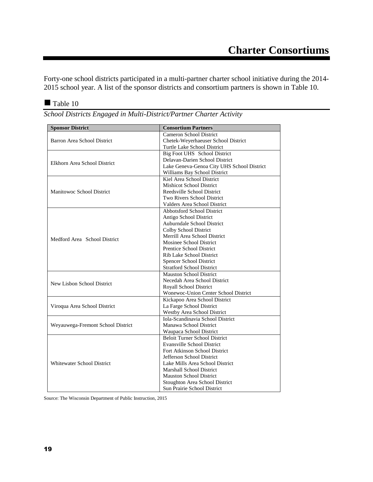Forty-one school districts participated in a multi-partner charter school initiative during the 2014- 2015 school year. A list of the sponsor districts and consortium partners is shown in Table 10.

Table 10

| School Districts Engaged in Multi-District/Partner Charter Activity |  |  |  |  |
|---------------------------------------------------------------------|--|--|--|--|

| <b>Sponsor District</b>           | <b>Consortium Partners</b>                  |
|-----------------------------------|---------------------------------------------|
|                                   | <b>Cameron School District</b>              |
| Barron Area School District       | Chetek-Weyerhaeuser School District         |
|                                   | Turtle Lake School District                 |
|                                   | Big Foot UHS School District                |
|                                   | Delavan-Darien School District              |
| Elkhorn Area School District      | Lake Geneva-Genoa City UHS School District  |
|                                   | Williams Bay School District                |
|                                   | Kiel Area School District                   |
|                                   | <b>Mishicot School District</b>             |
| <b>Manitowoc School District</b>  | Reedsville School District                  |
|                                   | Two Rivers School District                  |
|                                   | Valders Area School District                |
|                                   | <b>Abbotsford School District</b>           |
|                                   | Antigo School District                      |
|                                   | Auburndale School District                  |
|                                   | Colby School District                       |
|                                   | Merrill Area School District                |
| Medford Area School District      | Mosinee School District                     |
|                                   | <b>Prentice School District</b>             |
|                                   | Rib Lake School District                    |
|                                   | Spencer School District                     |
|                                   | <b>Stratford School District</b>            |
|                                   | <b>Mauston School District</b>              |
| New Lisbon School District        | Necedah Area School District                |
|                                   | Royall School District                      |
|                                   | <b>Wonewoc-Union Center School District</b> |
|                                   | Kickapoo Area School District               |
| Viroqua Area School District      | La Farge School District                    |
|                                   | <b>Westby Area School District</b>          |
|                                   | Iola-Scandinavia School District            |
| Weyauwega-Fremont School District | Manawa School District                      |
|                                   | Waupaca School District                     |
|                                   | Beloit Turner School District               |
|                                   | <b>Evansville School District</b>           |
|                                   | Fort Atkinson School District               |
|                                   | Jefferson School District                   |
| <b>Whitewater School District</b> | Lake Mills Area School District             |
|                                   | <b>Marshall School District</b>             |
|                                   | <b>Mauston School District</b>              |
|                                   | Stoughton Area School District              |
|                                   | Sun Prairie School District                 |

Source: The Wisconsin Department of Public Instruction, 2015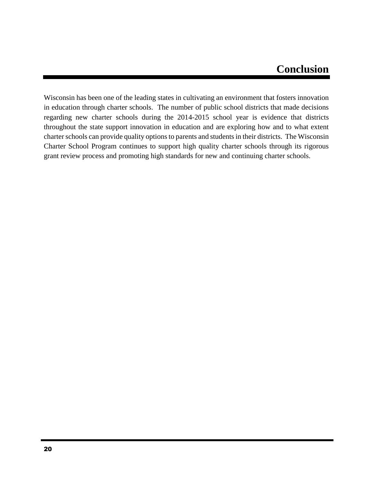## **Conclusion**

Wisconsin has been one of the leading states in cultivating an environment that fosters innovation in education through charter schools. The number of public school districts that made decisions regarding new charter schools during the 2014-2015 school year is evidence that districts throughout the state support innovation in education and are exploring how and to what extent charter schools can provide quality options to parents and students in their districts. The Wisconsin Charter School Program continues to support high quality charter schools through its rigorous grant review process and promoting high standards for new and continuing charter schools.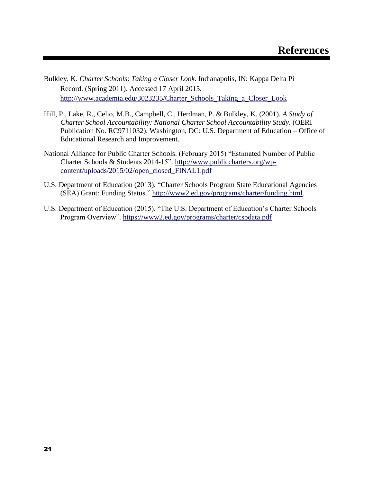- Bulkley, K. *Charter Schools*: *Taking a Closer Look*. Indianapolis, IN: Kappa Delta Pi Record. (Spring 2011). Accessed 17 April 2015. [http://www.academia.edu/3023235/Charter\\_Schools\\_Taking\\_a\\_Closer\\_Look](http://www.academia.edu/3023235/Charter_Schools_Taking_a_Closer_Look)
- Hill, P., Lake, R., Celio, M.B., Campbell, C., Herdman, P. & Bulkley, K. (2001). *A Study of Charter School Accountability: National Charter School Accountability Study*. (OERI Publication No. RC9711032). Washington, DC: U.S. Department of Education – Office of Educational Research and Improvement.
- National Alliance for Public Charter Schools. (February 2015) "Estimated Number of Public Charter Schools & Students 2014-15". [http://www.publiccharters.org/wp](http://www.publiccharters.org/wp-content/uploads/2015/02/open_closed_FINAL1.pdf)[content/uploads/2015/02/open\\_closed\\_FINAL1.pdf](http://www.publiccharters.org/wp-content/uploads/2015/02/open_closed_FINAL1.pdf)
- U.S. Department of Education (2013). "Charter Schools Program State Educational Agencies (SEA) Grant: Funding Status." <http://www2.ed.gov/programs/charter/funding.html>.
- U.S. Department of Education (2015). "The U.S. Department of Education's Charter Schools Program Overview".<https://www2.ed.gov/programs/charter/cspdata.pdf>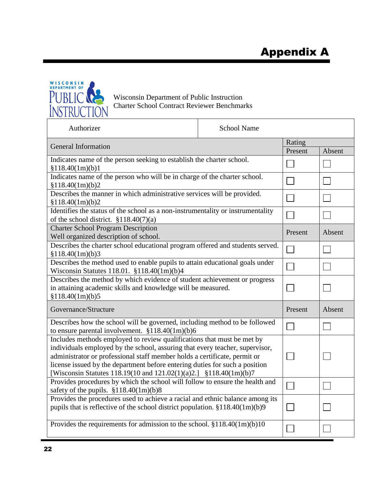

Wisconsin Department of Public Instruction Charter School Contract Reviewer Benchmarks

| Authorizer                                                                                                                                                                                                                                                                                                                                                                              | <b>School Name</b> |         |        |
|-----------------------------------------------------------------------------------------------------------------------------------------------------------------------------------------------------------------------------------------------------------------------------------------------------------------------------------------------------------------------------------------|--------------------|---------|--------|
| General Information                                                                                                                                                                                                                                                                                                                                                                     |                    |         |        |
|                                                                                                                                                                                                                                                                                                                                                                                         |                    | Present | Absent |
| Indicates name of the person seeking to establish the charter school.<br>\$118.40(1m)(b)1                                                                                                                                                                                                                                                                                               |                    |         |        |
| Indicates name of the person who will be in charge of the charter school.<br>\$118.40(1m)(b)2                                                                                                                                                                                                                                                                                           |                    | $\sim$  |        |
| Describes the manner in which administrative services will be provided.<br>\$118.40(1m)(b)2                                                                                                                                                                                                                                                                                             |                    |         |        |
| Identifies the status of the school as a non-instrumentality or instrumentality<br>of the school district. $$118.40(7)(a)$                                                                                                                                                                                                                                                              |                    |         |        |
| <b>Charter School Program Description</b><br>Well organized description of school.                                                                                                                                                                                                                                                                                                      |                    | Present | Absent |
| Describes the charter school educational program offered and students served.<br>\$118.40(1m)(b)3                                                                                                                                                                                                                                                                                       |                    |         |        |
| Describes the method used to enable pupils to attain educational goals under<br>Wisconsin Statutes 118.01. §118.40(1m)(b)4                                                                                                                                                                                                                                                              |                    |         |        |
| Describes the method by which evidence of student achievement or progress<br>in attaining academic skills and knowledge will be measured.<br>\$118.40(1m)(b)5                                                                                                                                                                                                                           |                    |         |        |
| Governance/Structure                                                                                                                                                                                                                                                                                                                                                                    |                    | Present | Absent |
| Describes how the school will be governed, including method to be followed<br>to ensure parental involvement. $$118.40(1m)(b)6$                                                                                                                                                                                                                                                         |                    |         |        |
| Includes methods employed to review qualifications that must be met by<br>individuals employed by the school, assuring that every teacher, supervisor,<br>administrator or professional staff member holds a certificate, permit or<br>license issued by the department before entering duties for such a position<br>[Wisconsin Statutes 118.19(10 and 121.02(1)(a)2.] §118.40(1m)(b)7 |                    |         |        |
| Provides procedures by which the school will follow to ensure the health and<br>safety of the pupils. $$118.40(1m)(b)8$                                                                                                                                                                                                                                                                 |                    |         |        |
| Provides the procedures used to achieve a racial and ethnic balance among its<br>pupils that is reflective of the school district population. $$118.40(1m)(b)9$                                                                                                                                                                                                                         |                    |         |        |
| Provides the requirements for admission to the school. $$118.40(1m)(b)10$                                                                                                                                                                                                                                                                                                               |                    |         |        |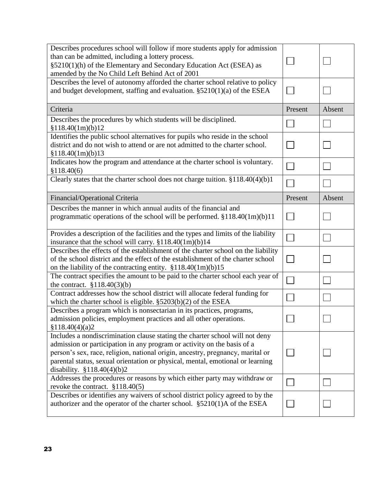| Describes procedures school will follow if more students apply for admission<br>than can be admitted, including a lottery process.<br>§5210(1)(h) of the Elementary and Secondary Education Act (ESEA) as<br>amended by the No Child Left Behind Act of 2001                                                                                                |         |        |
|-------------------------------------------------------------------------------------------------------------------------------------------------------------------------------------------------------------------------------------------------------------------------------------------------------------------------------------------------------------|---------|--------|
| Describes the level of autonomy afforded the charter school relative to policy<br>and budget development, staffing and evaluation. $\S5210(1)(a)$ of the ESEA                                                                                                                                                                                               |         |        |
| Criteria                                                                                                                                                                                                                                                                                                                                                    | Present | Absent |
| Describes the procedures by which students will be disciplined.<br>\$118.40(1m)(b)12                                                                                                                                                                                                                                                                        |         |        |
| Identifies the public school alternatives for pupils who reside in the school<br>district and do not wish to attend or are not admitted to the charter school.<br>\$118.40(1m)(b)13                                                                                                                                                                         |         |        |
| Indicates how the program and attendance at the charter school is voluntary.<br>\$118.40(6)                                                                                                                                                                                                                                                                 |         |        |
| Clearly states that the charter school does not charge tuition. §118.40(4)(b)1                                                                                                                                                                                                                                                                              |         |        |
| Financial/Operational Criteria                                                                                                                                                                                                                                                                                                                              | Present | Absent |
| Describes the manner in which annual audits of the financial and<br>programmatic operations of the school will be performed. $$118.40(1m)(b)11$                                                                                                                                                                                                             |         |        |
| Provides a description of the facilities and the types and limits of the liability<br>insurance that the school will carry. §118.40(1m)(b)14                                                                                                                                                                                                                |         |        |
| Describes the effects of the establishment of the charter school on the liability<br>of the school district and the effect of the establishment of the charter school<br>on the liability of the contracting entity. $$118.40(1m)(b)15$                                                                                                                     |         |        |
| The contract specifies the amount to be paid to the charter school each year of<br>the contract. $$118.40(3)(b)$                                                                                                                                                                                                                                            |         |        |
| Contract addresses how the school district will allocate federal funding for<br>which the charter school is eligible. $$5203(b)(2)$ of the ESEA                                                                                                                                                                                                             |         |        |
| Describes a program which is nonsectarian in its practices, programs,<br>admission policies, employment practices and all other operations.<br>\$118.40(4)(a)2                                                                                                                                                                                              |         |        |
| Includes a nondiscrimination clause stating the charter school will not deny<br>admission or participation in any program or activity on the basis of a<br>person's sex, race, religion, national origin, ancestry, pregnancy, marital or<br>parental status, sexual orientation or physical, mental, emotional or learning<br>disability. $$118.40(4)(b)2$ |         |        |
| Addresses the procedures or reasons by which either party may withdraw or<br>revoke the contract. $$118.40(5)$                                                                                                                                                                                                                                              |         |        |
| Describes or identifies any waivers of school district policy agreed to by the<br>authorizer and the operator of the charter school. $\S 5210(1)$ A of the ESEA                                                                                                                                                                                             |         |        |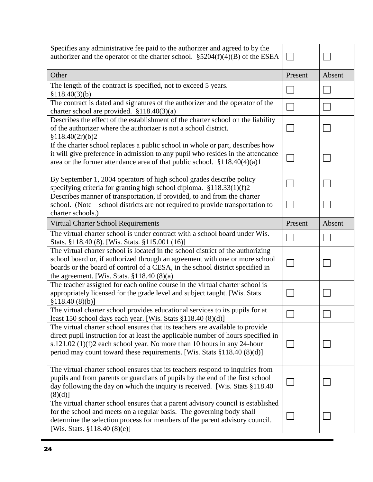| Specifies any administrative fee paid to the authorizer and agreed to by the<br>authorizer and the operator of the charter school. $\S$ 5204(f)(4)(B) of the ESEA                                                                                                                                                            |         |        |
|------------------------------------------------------------------------------------------------------------------------------------------------------------------------------------------------------------------------------------------------------------------------------------------------------------------------------|---------|--------|
| Other                                                                                                                                                                                                                                                                                                                        | Present | Absent |
| The length of the contract is specified, not to exceed 5 years.<br>\$118.40(3)(b)                                                                                                                                                                                                                                            |         |        |
| The contract is dated and signatures of the authorizer and the operator of the<br>charter school are provided. $$118.40(3)(a)$                                                                                                                                                                                               |         |        |
| Describes the effect of the establishment of the charter school on the liability<br>of the authorizer where the authorizer is not a school district.<br>\$118.40(2r)(b)2                                                                                                                                                     |         |        |
| If the charter school replaces a public school in whole or part, describes how<br>it will give preference in admission to any pupil who resides in the attendance<br>area or the former attendance area of that public school. $$118.40(4)(a)1$                                                                              |         |        |
| By September 1, 2004 operators of high school grades describe policy<br>specifying criteria for granting high school diploma. §118.33(1)(f)2                                                                                                                                                                                 |         |        |
| Describes manner of transportation, if provided, to and from the charter<br>school. (Note—school districts are not required to provide transportation to<br>charter schools.)                                                                                                                                                |         |        |
| Virtual Charter School Requirements                                                                                                                                                                                                                                                                                          | Present | Absent |
| The virtual charter school is under contract with a school board under Wis.<br>Stats. §118.40 (8). [Wis. Stats. §115.001 (16)]                                                                                                                                                                                               |         |        |
| The virtual charter school is located in the school district of the authorizing<br>school board or, if authorized through an agreement with one or more school<br>boards or the board of control of a CESA, in the school district specified in<br>the agreement. [Wis. Stats. $§118.40(8)(a)$                               |         |        |
| The teacher assigned for each online course in the virtual charter school is<br>appropriately licensed for the grade level and subject taught. [Wis. Stats<br>\$118.40(8)(b)]                                                                                                                                                |         |        |
| The virtual charter school provides educational services to its pupils for at<br>least 150 school days each year. [Wis. Stats §118.40 (8)(d)]                                                                                                                                                                                |         |        |
| The virtual charter school ensures that its teachers are available to provide<br>direct pupil instruction for at least the applicable number of hours specified in<br>s.121.02 (1)(f)2 each school year. No more than 10 hours in any 24-hour<br>period may count toward these requirements. [Wis. Stats $\S 118.40(8)(d)$ ] |         |        |
| The virtual charter school ensures that its teachers respond to inquiries from<br>pupils and from parents or guardians of pupils by the end of the first school<br>day following the day on which the inquiry is received. [Wis. Stats §118.40]<br>$(8)(d)$ ]                                                                |         |        |
| The virtual charter school ensures that a parent advisory council is established<br>for the school and meets on a regular basis. The governing body shall<br>determine the selection process for members of the parent advisory council.<br>[Wis. Stats. $\S 118.40(8)(e)$ ]                                                 |         |        |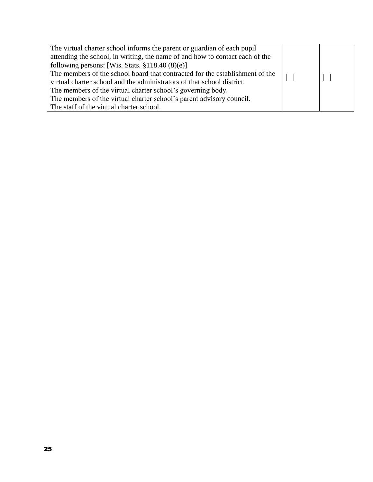| The virtual charter school informs the parent or guardian of each pupil      |  |
|------------------------------------------------------------------------------|--|
| attending the school, in writing, the name of and how to contact each of the |  |
| following persons: [Wis. Stats. $$118.40(8)(e)]$ ]                           |  |
| The members of the school board that contracted for the establishment of the |  |
| virtual charter school and the administrators of that school district.       |  |
| The members of the virtual charter school's governing body.                  |  |
| The members of the virtual charter school's parent advisory council.         |  |
| The staff of the virtual charter school.                                     |  |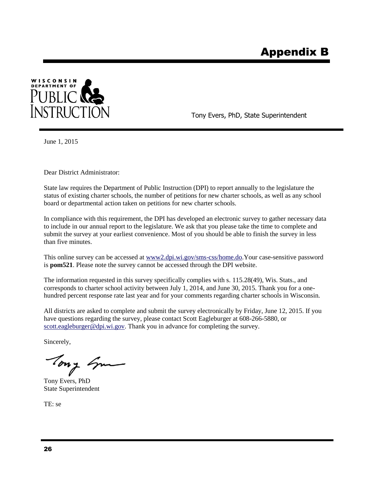

Tony Evers, PhD, State Superintendent

June 1, 2015

Dear District Administrator:

State law requires the Department of Public Instruction (DPI) to report annually to the legislature the status of existing charter schools, the number of petitions for new charter schools, as well as any school board or departmental action taken on petitions for new charter schools.

In compliance with this requirement, the DPI has developed an electronic survey to gather necessary data to include in our annual report to the legislature. We ask that you please take the time to complete and submit the survey at your earliest convenience. Most of you should be able to finish the survey in less than five minutes.

This online survey can be accessed a[t www2.dpi.wi.gov/sms-css/home.do.](https://www2.dpi.wi.gov/sms-css/home.do)Your case-sensitive password is **pom521**. Please note the survey cannot be accessed through the DPI website.

The information requested in this survey specifically complies with s. 115.28(49), Wis. Stats., and corresponds to charter school activity between July 1, 2014, and June 30, 2015. Thank you for a onehundred percent response rate last year and for your comments regarding charter schools in Wisconsin.

All districts are asked to complete and submit the survey electronically by Friday, June 12, 2015. If you have questions regarding the survey, please contact Scott Eagleburger at 608-266-5880, or [scott.eagleburger@dpi.wi.gov.](mailto:scott.eagleburger@dpi.wi.gov) Thank you in advance for completing the survey.

Sincerely,

Tony Em

Tony Evers, PhD State Superintendent

TE: se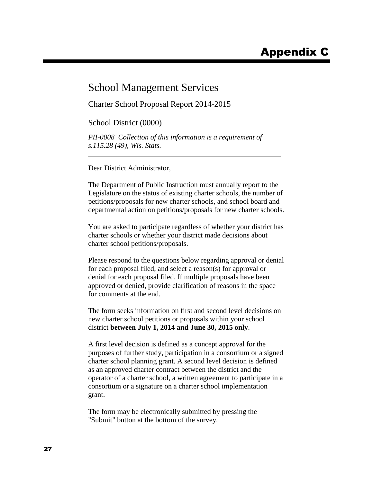### School Management Services

Charter School Proposal Report 2014-2015

School District (0000)

*PII-0008 Collection of this information is a requirement of s.115.28 (49), Wis. Stats.*

Dear District Administrator,

The Department of Public Instruction must annually report to the Legislature on the status of existing charter schools, the number of petitions/proposals for new charter schools, and school board and departmental action on petitions/proposals for new charter schools.

You are asked to participate regardless of whether your district has charter schools or whether your district made decisions about charter school petitions/proposals.

Please respond to the questions below regarding approval or denial for each proposal filed, and select a reason(s) for approval or denial for each proposal filed. If multiple proposals have been approved or denied, provide clarification of reasons in the space for comments at the end.

The form seeks information on first and second level decisions on new charter school petitions or proposals within your school district **between July 1, 2014 and June 30, 2015 only**.

A first level decision is defined as a concept approval for the purposes of further study, participation in a consortium or a signed charter school planning grant. A second level decision is defined as an approved charter contract between the district and the operator of a charter school, a written agreement to participate in a consortium or a signature on a charter school implementation grant.

The form may be electronically submitted by pressing the "Submit" button at the bottom of the survey.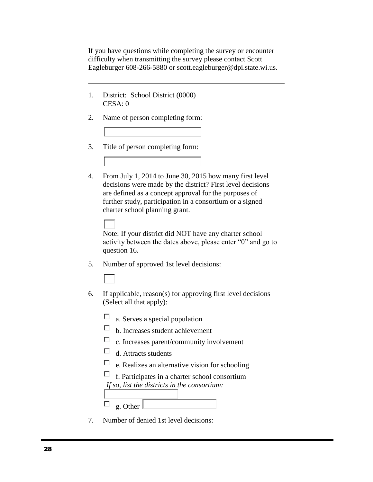If you have questions while completing the survey or encounter difficulty when transmitting the survey please contact Scott Eagleburger 608-266-5880 or scott.eagleburger@dpi.state.wi.us.

- 1. District: School District (0000) CESA: 0
- 2. Name of person completing form:
- 3. Title of person completing form:
- 4. From July 1, 2014 to June 30, 2015 how many first level decisions were made by the district? First level decisions are defined as a concept approval for the purposes of further study, participation in a consortium or a signed charter school planning grant.

Note: If your district did NOT have any charter school activity between the dates above, please enter "0" and go to question 16.

- 5. Number of approved 1st level decisions:
- 6. If applicable, reason(s) for approving first level decisions (Select all that apply):
	- $\Box$ a. Serves a special population
	- $\Box$ b. Increases student achievement
	- $\Box$ c. Increases parent/community involvement
	- $\Box$  d. Attracts students
	- $\Box$ e. Realizes an alternative vision for schooling

| $\Box$ f. Participates in a charter school consortium |
|-------------------------------------------------------|
| If so, list the districts in the consortium:          |

П g. Other

7. Number of denied 1st level decisions: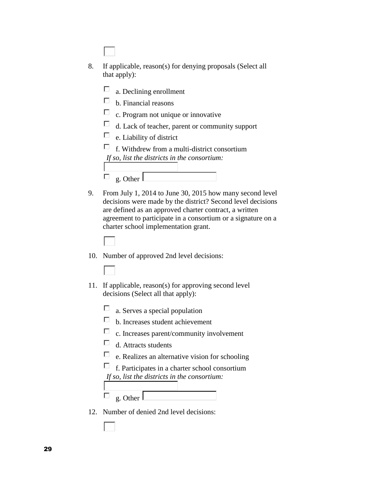| 8. | If applicable, reason(s) for denying proposals (Select all<br>that apply):                                             |
|----|------------------------------------------------------------------------------------------------------------------------|
|    | a. Declining enrollment                                                                                                |
|    | b. Financial reasons                                                                                                   |
|    | c. Program not unique or innovative                                                                                    |
|    | d. Lack of teacher, parent or community support                                                                        |
|    | e. Liability of district                                                                                               |
|    | f. Withdrew from a multi-district consortium                                                                           |
|    | If so, list the districts in the consortium:                                                                           |
|    |                                                                                                                        |
|    | g. Other                                                                                                               |
| 9. | From July 1, 2014 to June 30, 2015 how many second level                                                               |
|    | decisions were made by the district? Second level decisions                                                            |
|    | are defined as an approved charter contract, a written<br>agreement to participate in a consortium or a signature on a |
|    | charter school implementation grant.                                                                                   |



- 10. Number of approved 2nd level decisions:
- 11. If applicable, reason(s) for approving second level decisions (Select all that apply):
	- П a. Serves a special population
	- $\Box$ b. Increases student achievement
	- $\Box$ c. Increases parent/community involvement
	- $\Box$ d. Attracts students
	- $\Box$ e. Realizes an alternative vision for schooling
	- $\Box$  f. Participates in a charter school consortium *If so, list the districts in the consortium:*
	- П g. Other
	- 12. Number of denied 2nd level decisions: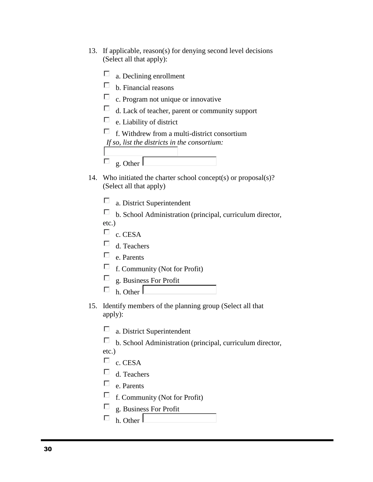- 13. If applicable, reason(s) for denying second level decisions (Select all that apply):
	- $\Box$ a. Declining enrollment  $\Box$  b. Financial reasons  $\Box$  c. Program not unique or innovative  $\Box$ d. Lack of teacher, parent or community support  $\Box$  e. Liability of district  $\Box$  f. Withdrew from a multi-district consortium *If so, list the districts in the consortium:* П g. Other
- 14. Who initiated the charter school concept(s) or proposal(s)? (Select all that apply)
	- П a. District Superintendent
	- $\Box$  b. School Administration (principal, curriculum director, etc.)
	- $\Box$  c. CESA
	- $\Box$  d. Teachers
	- $\Box$  e. Parents
	- $\Box$  f. Community (Not for Profit)
	- П g. Business For Profit
	- П h. Other
- 15. Identify members of the planning group (Select all that apply):
	- П a. District Superintendent
	- $\Box$ b. School Administration (principal, curriculum director,
	- etc.)
	- $\Box$  c. CESA
	- $\Box$ d. Teachers
	- $\Box$  e. Parents
	- $\Box$  f. Community (Not for Profit)
	- g. Business For Profit П
	- h. Other П